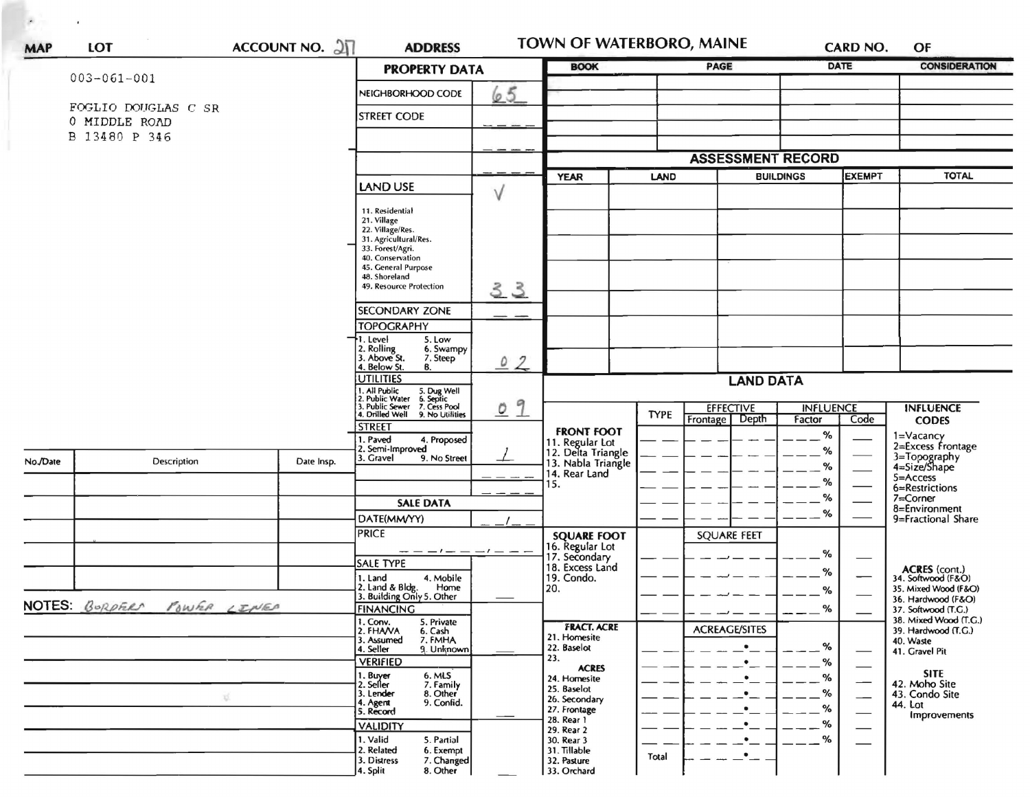| <b>MAP</b> | LOT                                  | ACCOUNT NO. $2\sqrt{1}$ |                                                                                                                                      | <b>TOWN OF WATERBORO, MAINE</b><br><b>ADDRESS</b><br><b>CARD NO.</b><br><b>DATE</b><br><b>BOOK</b><br><b>PAGE</b><br><b>PROPERTY DATA</b> |                                                             |             |                                       |                            |                          | OF<br><b>CONSIDERATION</b>                        |
|------------|--------------------------------------|-------------------------|--------------------------------------------------------------------------------------------------------------------------------------|-------------------------------------------------------------------------------------------------------------------------------------------|-------------------------------------------------------------|-------------|---------------------------------------|----------------------------|--------------------------|---------------------------------------------------|
|            | $003 - 061 - 001$                    |                         |                                                                                                                                      |                                                                                                                                           |                                                             |             |                                       |                            |                          |                                                   |
|            |                                      |                         | NEIGHBORHOOD CODE                                                                                                                    | 65                                                                                                                                        |                                                             |             |                                       |                            |                          |                                                   |
|            | FOGLIO DOUGLAS C SR<br>0 MIDDLE ROAD |                         | <b>STREET CODE</b>                                                                                                                   |                                                                                                                                           |                                                             |             |                                       |                            |                          |                                                   |
|            | B 13480 P 346                        |                         |                                                                                                                                      |                                                                                                                                           |                                                             |             |                                       |                            |                          |                                                   |
|            |                                      |                         |                                                                                                                                      |                                                                                                                                           |                                                             |             | <b>ASSESSMENT RECORD</b>              |                            |                          |                                                   |
|            |                                      |                         |                                                                                                                                      |                                                                                                                                           | <b>YEAR</b>                                                 | <b>LAND</b> | <b>BUILDINGS</b>                      |                            | <b>EXEMPT</b>            | <b>TOTAL</b>                                      |
|            |                                      |                         | LAND USE                                                                                                                             | V                                                                                                                                         |                                                             |             |                                       |                            |                          |                                                   |
|            |                                      |                         | 11. Residential<br>21. Village<br>22. Village/Res.                                                                                   |                                                                                                                                           |                                                             |             |                                       |                            |                          |                                                   |
|            |                                      |                         | 31. Agricultural/Res.<br>33. Forest/Agri.                                                                                            |                                                                                                                                           |                                                             |             |                                       |                            |                          |                                                   |
|            |                                      |                         | 40. Conservation<br>45. General Purpose                                                                                              |                                                                                                                                           |                                                             |             |                                       |                            |                          |                                                   |
|            |                                      |                         | 48. Shoreland<br>49. Resource Protection                                                                                             |                                                                                                                                           |                                                             |             |                                       |                            |                          |                                                   |
|            |                                      |                         |                                                                                                                                      | 33                                                                                                                                        |                                                             |             |                                       |                            |                          |                                                   |
|            |                                      |                         | <b>SECONDARY ZONE</b><br><b>TOPOGRAPHY</b>                                                                                           | $\overline{\phantom{a}}$                                                                                                                  |                                                             |             |                                       |                            |                          |                                                   |
|            |                                      |                         | 1. Level<br>5. Low                                                                                                                   |                                                                                                                                           |                                                             |             |                                       |                            |                          |                                                   |
|            |                                      |                         | 2. Rolling<br>3. Above St.<br>6. Swampy<br>7. Steep                                                                                  | 02                                                                                                                                        |                                                             |             |                                       |                            |                          |                                                   |
|            | 4. Below St.<br>В.<br>UTILITIES      |                         |                                                                                                                                      | <b>LAND DATA</b>                                                                                                                          |                                                             |             |                                       |                            |                          |                                                   |
|            |                                      |                         | . All Public 5. Dug Well<br>1. Public Water 5. Septic<br>1. Public Sewer 7. Cess Pool<br>1. Drilled Well 9. No Utilitie              |                                                                                                                                           |                                                             |             |                                       |                            |                          |                                                   |
|            |                                      |                         | 9. No Utilities                                                                                                                      | 9<br>$\overline{O}$                                                                                                                       |                                                             | <b>TYPE</b> | <b>EFFECTIVE</b><br>Depth<br>Frontage | <b>INFLUENCE</b><br>Factor | Code                     | <b>INFLUENCE</b><br><b>CODES</b>                  |
|            |                                      |                         | <b>STREET</b><br>1. Paved<br>4. Proposed                                                                                             |                                                                                                                                           | <b>FRONT FOOT</b>                                           |             |                                       | $\%$                       |                          | 1=Vacancy                                         |
| No./Date   | Description                          | Date Insp.              | 2. Semi-Improved<br>3. Gravel<br>9. No Street                                                                                        |                                                                                                                                           | 11. Regular Lot<br>12. Delta Triangle<br>13. Nabla Triangle |             |                                       | %                          |                          | 2=Excess Frontage<br>3=Topography<br>4=Size/Shape |
|            |                                      |                         |                                                                                                                                      |                                                                                                                                           | 14. Rear Land                                               |             |                                       | %<br>%                     |                          | 5=Access                                          |
|            |                                      |                         |                                                                                                                                      |                                                                                                                                           | 15.                                                         |             |                                       | %                          |                          | 6=Restrictions<br>7=Corner                        |
|            |                                      |                         | <b>SALE DATA</b><br>DATE(MM/YY)                                                                                                      |                                                                                                                                           |                                                             |             |                                       | %                          |                          | 8=Environment<br>9=Fractional Share               |
|            |                                      |                         | <b>PRICE</b>                                                                                                                         |                                                                                                                                           | <b>SQUARE FOOT</b>                                          |             | SQUARE FEET                           |                            |                          |                                                   |
|            |                                      |                         | $\overline{\phantom{m}}$ $  \overline{\phantom{m}}$ $  \overline{\phantom{m}}$ $  \overline{\phantom{m}}$ $  \overline{\phantom{m}}$ |                                                                                                                                           | 16. Regular Lot<br>17. Secondary                            |             |                                       | %                          |                          |                                                   |
|            |                                      |                         | SALE TYPE<br>1. Land<br>4. Mobile                                                                                                    |                                                                                                                                           | 18. Excess Land<br>19. Condo.                               |             |                                       | %                          |                          | ACRES (cont.)<br>34. Softwood (F&O)               |
|            |                                      |                         | 2. Land & Bldg.<br>Home<br>3. Building Only 5. Other                                                                                 |                                                                                                                                           | 120.                                                        |             |                                       | %                          |                          | 35. Mixed Wood (F&O)<br>36. Hardwood (F&O)        |
|            | NOTES BORDFIRM POWER LINES           |                         | <b>FINANCING</b>                                                                                                                     |                                                                                                                                           |                                                             |             |                                       | %                          |                          | 37. Softwood (T.C.)                               |
|            |                                      |                         | 1. Conv.<br>5. Private<br>2. FHAVA<br>6. Cash                                                                                        |                                                                                                                                           | <b>FRACT. ACRE</b><br>21. Homesite                          |             | <b>ACREAGE/SITES</b>                  |                            |                          | 38. Mixed Wood (T.G.)<br>39. Hardwood (T.G.)      |
|            |                                      |                         | 3. Assumed<br>7. FMHA<br>9. Unknown<br>4. Seller                                                                                     |                                                                                                                                           | 22. Baselot                                                 |             | $\bullet$                             | $- -$ %                    |                          | 40. Waste<br>41. Gravel Pit                       |
|            |                                      |                         | <b>VERIFIED</b>                                                                                                                      |                                                                                                                                           | 23.<br><b>ACRES</b>                                         |             | $\bullet$ $\overline{\phantom{a}}$ =  | %                          |                          | <b>SITE</b>                                       |
|            |                                      |                         | 1. Buyer<br>2. Seller<br>6. MLS<br>7. Family<br>8. Other<br>3. Lender                                                                |                                                                                                                                           | 24. Homesite<br>25. Baselot                                 |             | $\bullet$                             | $--- %$<br>$---%$          |                          | 42. Moho Site<br>43. Condo Site                   |
|            | 妥                                    |                         | 9. Confid.<br>4. Agent<br>5. Record                                                                                                  |                                                                                                                                           | 26. Secondary<br>27. Frontage                               |             |                                       | $-- -$ %                   | $\overline{\phantom{0}}$ | 44. Lot<br>Improvements                           |
|            |                                      |                         | <b>VALIDITY</b>                                                                                                                      |                                                                                                                                           | 28. Rear 1<br>29. Rear 2                                    |             |                                       | %<br>————                  |                          |                                                   |
|            |                                      |                         | 1. Valid<br>5. Partial<br>2. Related<br>6. Exempt                                                                                    |                                                                                                                                           | 30. Rear 3<br>31. Tillable                                  |             | $\bullet$                             | $- -$ %                    |                          |                                                   |
|            |                                      |                         | 3. Distress<br>7. Changed<br>8. Other<br>4. Split                                                                                    |                                                                                                                                           | 32. Pasture<br>33. Orchard                                  | Total       | $\cdot$ .                             |                            |                          |                                                   |